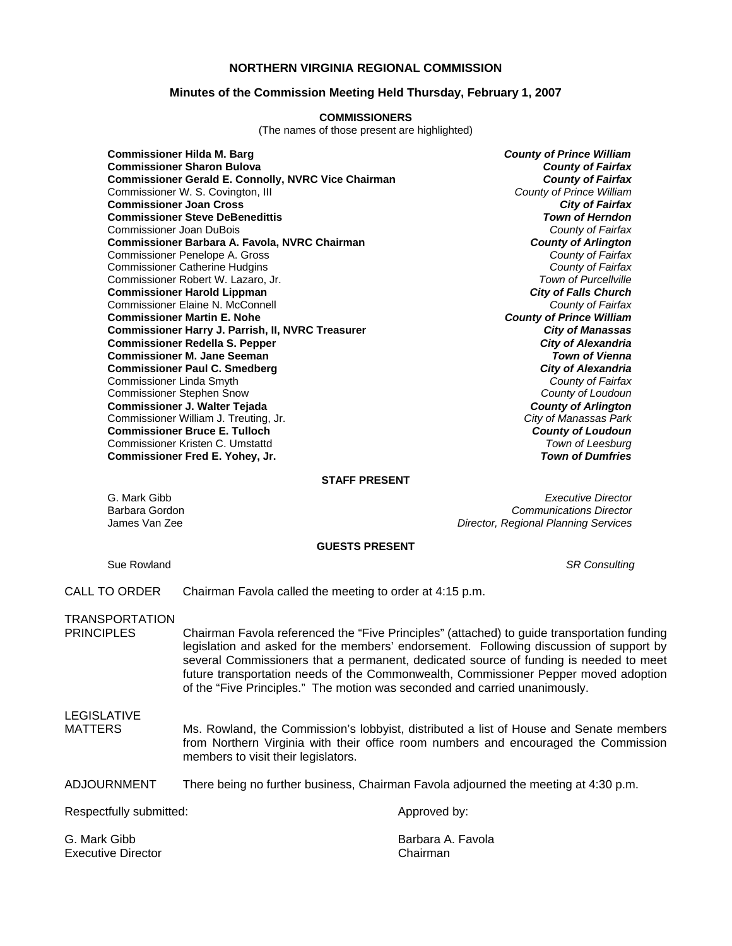## **NORTHERN VIRGINIA REGIONAL COMMISSION**

### **Minutes of the Commission Meeting Held Thursday, February 1, 2007**

#### **COMMISSIONERS**

(The names of those present are highlighted)

**Commissioner Hilda M. Barg** *County of Prince William* **Commissioner Sharon Bulova** *County of Fairfax* **Commissioner Gerald E. Connolly, NVRC Vice Chairman** *County of Fairfax**County of Fairfax***<br>Commissioner W. S. Covington, III <b>County of Prince William** Commissioner W. S. Covington, III *County of Prince William* **Commissioner Joan Cross** *City of Fairfax* **Commissioner Steve DeBenedittis** *Town of Herndon* Commissioner Joan DuBois *County of Fairfax* **Commissioner Barbara A. Favola, NVRC Chairman** *County of Arlington* Commissioner Penelope A. Gross *County of Fairfax* Commissioner Catherine Hudgins *County of Fairfax* Commissioner Robert W. Lazaro, Jr. **Commissioner Harold Lippman** *City of Falls Church* Commissioner Elaine N. McConnell *County of Fairfax* **Commissioner Martin E. Nohe Commissioner Harry J. Parrish, II, NVRC Treasurer** *City of Manassas* **Commissioner Redella S. Pepper** *City of Alexandria* **Commissioner M. Jane Seeman Commissioner Paul C. Smedberg** *City of Alexandria* Commissioner Linda Smyth *County of Fairfax* Commissioner Stephen Snow *County of Loudoun* **Commissioner J. Walter Tejada** *County of Arlington* Commissioner William J. Treuting, Jr. *City of Manassas Park* **Commissioner Bruce E. Tulloch** *County of Loudoun* Commissioner Kristen C. Umstattd *Town of Leesburg* **Commissioner Fred E. Yohey, Jr.** *Town of Dumfries*

#### **STAFF PRESENT**

G. Mark Gibb *Executive Director* Barbara Gordon *Communications Director* James Van Zee *Director, Regional Planning Services*

#### **GUESTS PRESENT**

Sue Rowland *SR Consulting* 

CALL TO ORDER Chairman Favola called the meeting to order at 4:15 p.m.

TRANSPORTATION

- Chairman Favola referenced the "Five Principles" (attached) to guide transportation funding legislation and asked for the members' endorsement. Following discussion of support by several Commissioners that a permanent, dedicated source of funding is needed to meet future transportation needs of the Commonwealth, Commissioner Pepper moved adoption of the "Five Principles." The motion was seconded and carried unanimously.
- LEGISLATIVE
- MATTERS Ms. Rowland, the Commission's lobbyist, distributed a list of House and Senate members from Northern Virginia with their office room numbers and encouraged the Commission members to visit their legislators.
- ADJOURNMENT There being no further business, Chairman Favola adjourned the meeting at 4:30 p.m.

Respectfully submitted: Approved by:

Executive Director **Chairman** 

G. Mark Gibb Barbara A. Favola